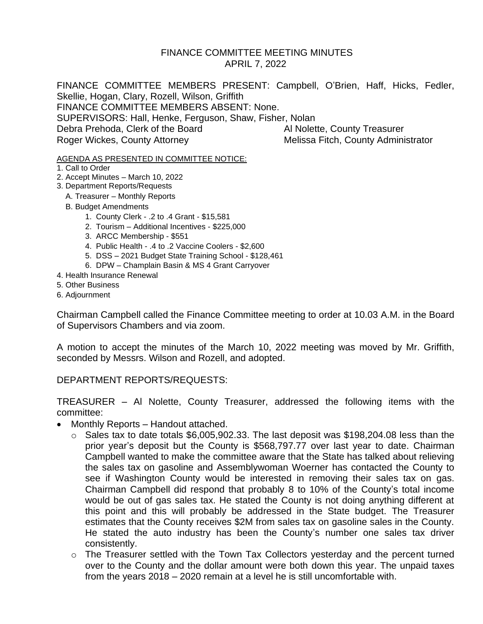### FINANCE COMMITTEE MEETING MINUTES APRIL 7, 2022

FINANCE COMMITTEE MEMBERS PRESENT: Campbell, O'Brien, Haff, Hicks, Fedler, Skellie, Hogan, Clary, Rozell, Wilson, Griffith FINANCE COMMITTEE MEMBERS ABSENT: None. SUPERVISORS: Hall, Henke, Ferguson, Shaw, Fisher, Nolan Debra Prehoda, Clerk of the Board Al Nolette, County Treasurer Roger Wickes, County Attorney Melissa Fitch, County Administrator

#### AGENDA AS PRESENTED IN COMMITTEE NOTICE:

- 1. Call to Order
- 2. Accept Minutes March 10, 2022
- 3. Department Reports/Requests
	- A. Treasurer Monthly Reports
	- B. Budget Amendments
		- 1. County Clerk .2 to .4 Grant \$15,581
		- 2. Tourism Additional Incentives \$225,000
		- 3. ARCC Membership \$551
		- 4. Public Health .4 to .2 Vaccine Coolers \$2,600
		- 5. DSS 2021 Budget State Training School \$128,461
		- 6. DPW Champlain Basin & MS 4 Grant Carryover
- 4. Health Insurance Renewal
- 5. Other Business
- 6. Adjournment

Chairman Campbell called the Finance Committee meeting to order at 10.03 A.M. in the Board of Supervisors Chambers and via zoom.

A motion to accept the minutes of the March 10, 2022 meeting was moved by Mr. Griffith, seconded by Messrs. Wilson and Rozell, and adopted.

### DEPARTMENT REPORTS/REQUESTS:

TREASURER – Al Nolette, County Treasurer, addressed the following items with the committee:

- Monthly Reports Handout attached.
	- $\circ$  Sales tax to date totals \$6,005,902.33. The last deposit was \$198,204.08 less than the prior year's deposit but the County is \$568,797.77 over last year to date. Chairman Campbell wanted to make the committee aware that the State has talked about relieving the sales tax on gasoline and Assemblywoman Woerner has contacted the County to see if Washington County would be interested in removing their sales tax on gas. Chairman Campbell did respond that probably 8 to 10% of the County's total income would be out of gas sales tax. He stated the County is not doing anything different at this point and this will probably be addressed in the State budget. The Treasurer estimates that the County receives \$2M from sales tax on gasoline sales in the County. He stated the auto industry has been the County's number one sales tax driver consistently.
	- o The Treasurer settled with the Town Tax Collectors yesterday and the percent turned over to the County and the dollar amount were both down this year. The unpaid taxes from the years 2018 – 2020 remain at a level he is still uncomfortable with.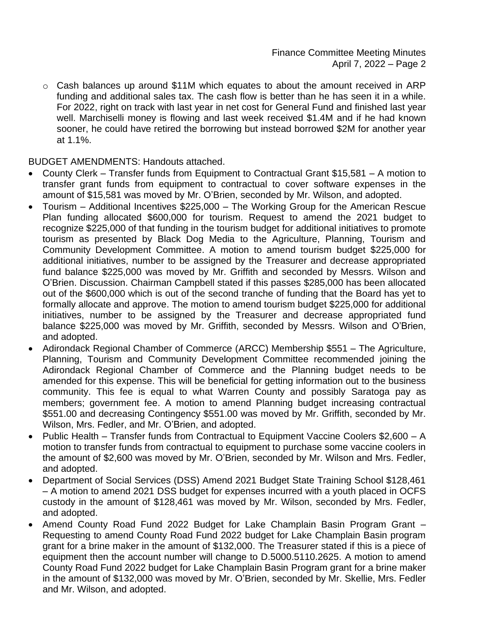$\circ$  Cash balances up around \$11M which equates to about the amount received in ARP funding and additional sales tax. The cash flow is better than he has seen it in a while. For 2022, right on track with last year in net cost for General Fund and finished last year well. Marchiselli money is flowing and last week received \$1.4M and if he had known sooner, he could have retired the borrowing but instead borrowed \$2M for another year at 1.1%.

BUDGET AMENDMENTS: Handouts attached.

- County Clerk Transfer funds from Equipment to Contractual Grant \$15,581 A motion to transfer grant funds from equipment to contractual to cover software expenses in the amount of \$15,581 was moved by Mr. O'Brien, seconded by Mr. Wilson, and adopted.
- Tourism Additional Incentives \$225,000 The Working Group for the American Rescue Plan funding allocated \$600,000 for tourism. Request to amend the 2021 budget to recognize \$225,000 of that funding in the tourism budget for additional initiatives to promote tourism as presented by Black Dog Media to the Agriculture, Planning, Tourism and Community Development Committee. A motion to amend tourism budget \$225,000 for additional initiatives, number to be assigned by the Treasurer and decrease appropriated fund balance \$225,000 was moved by Mr. Griffith and seconded by Messrs. Wilson and O'Brien. Discussion. Chairman Campbell stated if this passes \$285,000 has been allocated out of the \$600,000 which is out of the second tranche of funding that the Board has yet to formally allocate and approve. The motion to amend tourism budget \$225,000 for additional initiatives, number to be assigned by the Treasurer and decrease appropriated fund balance \$225,000 was moved by Mr. Griffith, seconded by Messrs. Wilson and O'Brien, and adopted.
- Adirondack Regional Chamber of Commerce (ARCC) Membership \$551 The Agriculture, Planning, Tourism and Community Development Committee recommended joining the Adirondack Regional Chamber of Commerce and the Planning budget needs to be amended for this expense. This will be beneficial for getting information out to the business community. This fee is equal to what Warren County and possibly Saratoga pay as members; government fee. A motion to amend Planning budget increasing contractual \$551.00 and decreasing Contingency \$551.00 was moved by Mr. Griffith, seconded by Mr. Wilson, Mrs. Fedler, and Mr. O'Brien, and adopted.
- Public Health Transfer funds from Contractual to Equipment Vaccine Coolers \$2,600 A motion to transfer funds from contractual to equipment to purchase some vaccine coolers in the amount of \$2,600 was moved by Mr. O'Brien, seconded by Mr. Wilson and Mrs. Fedler, and adopted.
- Department of Social Services (DSS) Amend 2021 Budget State Training School \$128,461 – A motion to amend 2021 DSS budget for expenses incurred with a youth placed in OCFS custody in the amount of \$128,461 was moved by Mr. Wilson, seconded by Mrs. Fedler, and adopted.
- Amend County Road Fund 2022 Budget for Lake Champlain Basin Program Grant Requesting to amend County Road Fund 2022 budget for Lake Champlain Basin program grant for a brine maker in the amount of \$132,000. The Treasurer stated if this is a piece of equipment then the account number will change to D.5000.5110.2625. A motion to amend County Road Fund 2022 budget for Lake Champlain Basin Program grant for a brine maker in the amount of \$132,000 was moved by Mr. O'Brien, seconded by Mr. Skellie, Mrs. Fedler and Mr. Wilson, and adopted.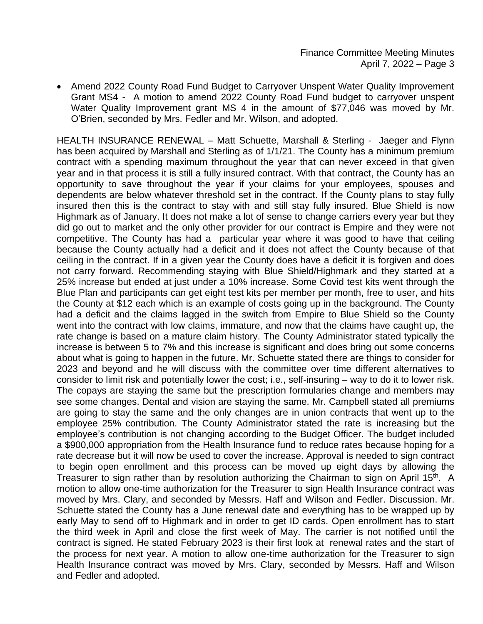• Amend 2022 County Road Fund Budget to Carryover Unspent Water Quality Improvement Grant MS4 - A motion to amend 2022 County Road Fund budget to carryover unspent Water Quality Improvement grant MS 4 in the amount of \$77,046 was moved by Mr. O'Brien, seconded by Mrs. Fedler and Mr. Wilson, and adopted.

HEALTH INSURANCE RENEWAL – Matt Schuette, Marshall & Sterling - Jaeger and Flynn has been acquired by Marshall and Sterling as of 1/1/21. The County has a minimum premium contract with a spending maximum throughout the year that can never exceed in that given year and in that process it is still a fully insured contract. With that contract, the County has an opportunity to save throughout the year if your claims for your employees, spouses and dependents are below whatever threshold set in the contract. If the County plans to stay fully insured then this is the contract to stay with and still stay fully insured. Blue Shield is now Highmark as of January. It does not make a lot of sense to change carriers every year but they did go out to market and the only other provider for our contract is Empire and they were not competitive. The County has had a particular year where it was good to have that ceiling because the County actually had a deficit and it does not affect the County because of that ceiling in the contract. If in a given year the County does have a deficit it is forgiven and does not carry forward. Recommending staying with Blue Shield/Highmark and they started at a 25% increase but ended at just under a 10% increase. Some Covid test kits went through the Blue Plan and participants can get eight test kits per member per month, free to user, and hits the County at \$12 each which is an example of costs going up in the background. The County had a deficit and the claims lagged in the switch from Empire to Blue Shield so the County went into the contract with low claims, immature, and now that the claims have caught up, the rate change is based on a mature claim history. The County Administrator stated typically the increase is between 5 to 7% and this increase is significant and does bring out some concerns about what is going to happen in the future. Mr. Schuette stated there are things to consider for 2023 and beyond and he will discuss with the committee over time different alternatives to consider to limit risk and potentially lower the cost; i.e., self-insuring – way to do it to lower risk. The copays are staying the same but the prescription formularies change and members may see some changes. Dental and vision are staying the same. Mr. Campbell stated all premiums are going to stay the same and the only changes are in union contracts that went up to the employee 25% contribution. The County Administrator stated the rate is increasing but the employee's contribution is not changing according to the Budget Officer. The budget included a \$900,000 appropriation from the Health Insurance fund to reduce rates because hoping for a rate decrease but it will now be used to cover the increase. Approval is needed to sign contract to begin open enrollment and this process can be moved up eight days by allowing the Treasurer to sign rather than by resolution authorizing the Chairman to sign on April 15<sup>th</sup>. A motion to allow one-time authorization for the Treasurer to sign Health Insurance contract was moved by Mrs. Clary, and seconded by Messrs. Haff and Wilson and Fedler. Discussion. Mr. Schuette stated the County has a June renewal date and everything has to be wrapped up by early May to send off to Highmark and in order to get ID cards. Open enrollment has to start the third week in April and close the first week of May. The carrier is not notified until the contract is signed. He stated February 2023 is their first look at renewal rates and the start of the process for next year. A motion to allow one-time authorization for the Treasurer to sign Health Insurance contract was moved by Mrs. Clary, seconded by Messrs. Haff and Wilson and Fedler and adopted.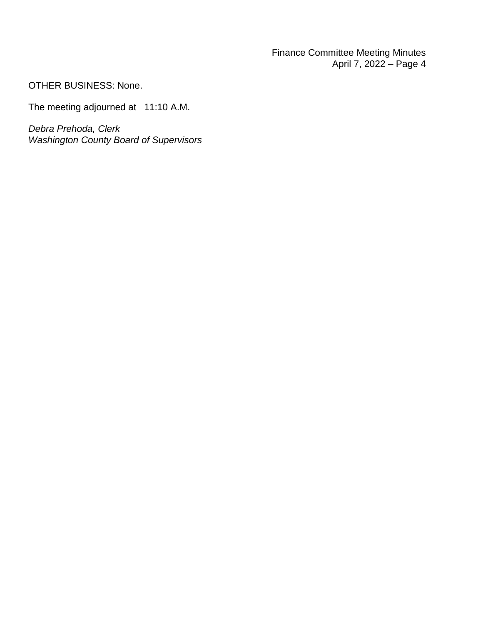Finance Committee Meeting Minutes April 7, 2022 – Page 4

OTHER BUSINESS: None.

The meeting adjourned at 11:10 A.M.

*Debra Prehoda, Clerk Washington County Board of Supervisors*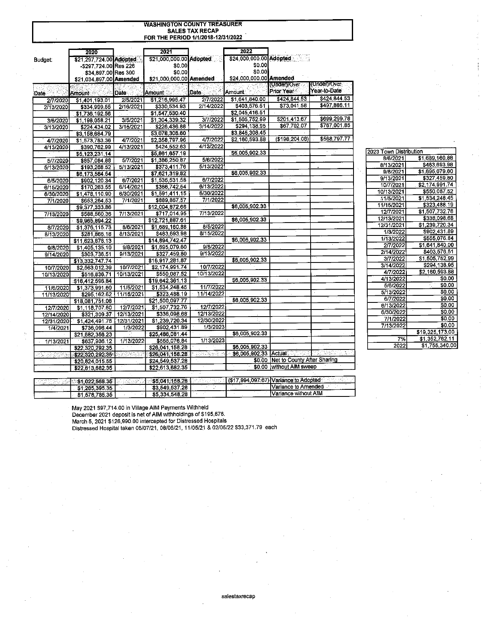### **WASHINGTON COUNTY TREASURER** SALES TAX RECAP<br>FOR THE PERIOD 1/1/2018-12/31/2022

|            | 2020                                                         |            | 2021                    |                  | 2022                                                                 |                                    |              |
|------------|--------------------------------------------------------------|------------|-------------------------|------------------|----------------------------------------------------------------------|------------------------------------|--------------|
| Budget:    | \$21,297,724.00 Adopted                                      |            | \$21,000,000.00 Adopted |                  | \$24,000,000.00 Adopted                                              | 직장학                                |              |
|            | -\$297,724.00 Res 226                                        |            | \$0.00                  |                  | \$0.00                                                               |                                    |              |
|            | \$34,897.00 Res 300                                          |            | \$0.00                  |                  | \$0.00                                                               |                                    |              |
|            | \$21,034,897.00 Amended                                      |            | \$21,000,000.00 Amended |                  | \$24,000,000.00 Amended                                              |                                    |              |
|            |                                                              |            |                         |                  |                                                                      | (Under)/Over                       | (Under)/Over |
| Date-      | Amount                                                       | Date       | <b>Amount</b>           | <b>Date</b>      | Amount                                                               | Prior Year                         | Year-to-Date |
| 2/7/2020   | \$1,401,193.01                                               | 2/5/2021   | \$1,216,995.47          | 2/7/2022         | \$1,641,840.00                                                       | \$424,844.53                       | \$424,844.53 |
| 2/13/2020  | \$334,999.55                                                 | 2/16/2021  | \$330 534.93            | 2/14/2022        | \$403 576.51                                                         | \$73,041.58                        | \$497,886.11 |
|            | \$1,736,192.56                                               |            | \$1,547,530.40          |                  | \$2,045,416.51                                                       |                                    |              |
| 3/6/2020   | \$1,198,058.21                                               | 3/5/2021   | \$1,304,339.32          | 3/7/2022         | $\overline{1,505,752.99}$                                            | \$201,413.67                       | \$699,299.78 |
| 3/13/2020  | \$224,434.02                                                 | 3/15/2021  | \$226,436.88            | 3/14/2022        | \$294.138.95                                                         | \$67,702.07                        | \$767,001.85 |
|            | \$3,158,684.79                                               |            | \$3,078,306.60          |                  | \$3,845,308.45                                                       |                                    |              |
| 4/7/2020   | \$1,573,783.36                                               | 4/7/2021   | \$2,358,797.96          | 4/7/2022         | \$2,160,593.88                                                       | (\$198,204.08)                     | \$568,797.77 |
| 4/13/2020  | \$390,762.99                                                 | 4/13/2021  | \$424,552.63            | 4/13/2022        |                                                                      |                                    |              |
|            | \$5,123,231.14                                               |            | \$5,861,657.19          |                  | \$6,005,902.33                                                       |                                    |              |
| 5/7/2020   | \$857,084.88                                                 | 5/7/2021   | \$1,386,250.87          | 5/6/2022         |                                                                      |                                    |              |
| 5/13/2020  | \$193,268.52                                                 | 5/13/2021  | \$373,411.76            | 5/13/2022        |                                                                      |                                    |              |
|            | \$6,173,584.54                                               |            | \$7,621,319.82          |                  | \$6,005,902.33                                                       |                                    |              |
| 6/5/2020   | \$902,120.34                                                 | 6/7/2021   | \$1,535,531.58          | 6/7/2022         |                                                                      |                                    |              |
| 6/15/2020  | \$170,263.55                                                 | 6/14/2021  | \$366 742.54            | 6/13/2022        |                                                                      |                                    |              |
| 6/30/2020  | \$1,478,110.90                                               | 6/30/2021  | \$1,591,411.15          | 6/30/2022        |                                                                      |                                    |              |
| 7/1/2020   | \$653,254.53                                                 | 7/1/2021   | \$889,867.57            | 7/1/2022         |                                                                      |                                    |              |
|            | \$9,377,333.86                                               |            | \$12,004 872.66         |                  | \$6,005,902.33                                                       |                                    |              |
| 7/13/2020  | \$588,560.36                                                 | 7/13/2021  | \$717 014.95            | 7/13/2022        |                                                                      |                                    |              |
|            | \$9,965,894.22                                               |            | \$12,721,887.61         |                  | \$6,005 902.33                                                       |                                    |              |
| 8/7/2020   | \$1,376,115.73                                               | 8/6/2021   | \$1,689,160.88          | 8/5/2022         |                                                                      |                                    |              |
| 8/13/2020  | \$281,866.18                                                 | 8/13/2021  | \$483,693.98            | 8/15/2022        |                                                                      |                                    |              |
|            | \$11,623,876.13                                              |            | \$14,894 742.47         |                  | \$6,005,902.33                                                       |                                    |              |
| 9/8/2020   | \$1,405,135,10                                               | 9/8/2021   | \$1,695,079.60          | 9/8/2022         |                                                                      |                                    |              |
| 9/14/2020  | \$303,736.51                                                 | 9/13/2021  | \$327,459.80            | 9/13/2022        |                                                                      |                                    |              |
|            | \$13,332,747.74                                              |            | \$16,917,281.87         |                  | \$6,005,902.33                                                       |                                    |              |
| 10/7/2020  | \$2,563,012.39                                               | 10/7/2021  | \$2,174,991.74          | 10/7/2022        |                                                                      |                                    |              |
| 10/13/2020 | \$516,836.71                                                 | 10/13/2021 | \$550,087.52            | 10/13/2022       |                                                                      |                                    |              |
|            | \$16,412,596.84                                              |            | \$19,642,361.13         |                  | \$6,005,902.33                                                       | W.                                 | Z.           |
| 11/6/2020  | \$1,373,991.60                                               | 11/5/2021  | \$1,534,248.45          | 11/7/2022        |                                                                      |                                    |              |
| 11/13/2020 | \$295,162.62                                                 | 11/15/2021 | \$323,488.19            | 11/14/2022       |                                                                      |                                    |              |
|            | \$18,081,751.06                                              |            | \$21,500,097.77         |                  | \$6,005,902.33                                                       |                                    |              |
| 12/7/2020  | \$1,118,707.60                                               | 12/7/2021  | \$1,507,732.76          | 12/7/2022        |                                                                      |                                    |              |
| 12/14/2020 | \$321,309.37                                                 | 12/13/2021 | \$336,098.68            | 12/13/2022       |                                                                      |                                    |              |
| 12/31/2020 | \$1,424,491.76                                               | 12/31/2021 | \$1,239,720.34          | 12/30/2022       |                                                                      |                                    |              |
| 1/4/2021   | \$736,096.44                                                 | 1/3/2022   | \$902,431.89            | 1/3/2023         |                                                                      |                                    |              |
|            | \$21,682,356.23                                              |            | \$25,486,081.44         |                  | \$6,005,902.33                                                       |                                    |              |
| 1/13/2021  | \$637,936.12                                                 | 1/13/2022  | \$555,076.84            | 1/13/2023        |                                                                      |                                    |              |
|            | \$22,320,292.35                                              |            | \$26,041,158.28         |                  | \$6,005,902.33                                                       |                                    |              |
| 法医无程序检验    | \$22,320.292.35.                                             | novati     | \$26,041,158.28         | t alle Selection |                                                                      | \$6,005,902.33 Actual              | Angels en    |
|            | \$20,824,015.55                                              |            | \$24,549,537.28         |                  |                                                                      | \$0.00 Net to County After Sharing |              |
|            | \$22,613,682.35                                              |            | \$22,613,682.35         |                  | \$0.00                                                               | without AIM sweep                  |              |
|            |                                                              |            |                         |                  |                                                                      |                                    |              |
|            | ್ ನಡೆಸಿದ್ದಾರೆ. <b>1 ಕೆಗ್ನಂ22,568.35</b> ರಿಸ್ಟ <u>್ ನೋಡಿದ</u> |            |                         |                  | 85,041,158.28   2009   1910   1917,994,097.67)   Variance to Adopted |                                    |              |

| 2023 Town Distribution |                 |
|------------------------|-----------------|
| 8/6/2021               | \$1,689,160.88  |
| 8/13/2021              | \$483,693.98    |
| 9/8/2021               | \$1,695,079.60  |
| 9/13/2021              | \$327,459.80    |
| 10/7/2021              | \$2,174,991.74  |
| 10/13/2021             | \$550,087.52    |
| 11/5/2021              | \$1,534,248.45  |
| 11/15/2021             | \$323,488.19    |
| 12/7/2021              | \$1,507,732.76  |
| 12/13/2021             | \$336,098.68    |
| 12/31/2021             | \$1,239,720.34  |
| 1/3/2022               | \$902,431.89    |
| 1/13/2022              | \$555,076.84    |
| 2/7/2022               | \$1,641,840.00  |
| 2/14/2022              | \$403.576.51    |
| 3/7/2022               | \$1,505,752.99  |
| 3/14/2022              | \$294,138.95    |
| 4/7/2022               | \$2,160,593.88  |
| 4/13/2022              | \$0.00          |
| 5/6/2022               | \$0.00          |
| 5/13/2022              | \$0.00          |
| 6/7/2022               | \$0,00          |
| 6/13/2022              | \$0.00          |
| 6/30/2022              | \$0.00          |
| 7/1/2022               | \$0.00          |
| 7/13/2022              | \$0.00          |
|                        | \$19,325,173.00 |
| 7%                     | \$1,352,762.11  |
| 2022                   | \$1,755,340.00  |

\$1,285,395.35<br>\$1,578,785.35

May 2021 \$97,714.00 in Village AIM Payments Withheld<br>December 2021 deposit is net of AIM withholdings of \$195,676.<br>March 5, 2021 \$126,990.00 intercepted for Distressed Hospitals<br>Distressed Hospital taken 05/07/21, 08/06/21

\$3,549,537.28

\$5,334,548.28

Variance to Amended

Variance without AIM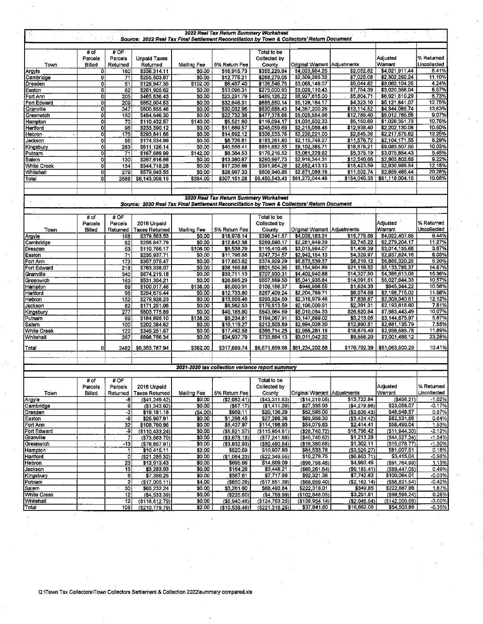|                                           |                 |                         | Source: 2022 Real Tax Final Settlement Reconciliation by Town & Collectors' Return Document |                         |                                | 2022 Real Tax Return Summary Worksheet           |                                   |                              |                                  |                      |
|-------------------------------------------|-----------------|-------------------------|---------------------------------------------------------------------------------------------|-------------------------|--------------------------------|--------------------------------------------------|-----------------------------------|------------------------------|----------------------------------|----------------------|
|                                           |                 |                         |                                                                                             |                         |                                |                                                  |                                   |                              |                                  |                      |
|                                           | # of<br>Parcels | #OF<br>Parcels          | <b>Unpaid Taxes</b>                                                                         |                         |                                | Total to be<br>Collected by                      |                                   |                              | Adjusted                         | % Returned           |
| Town                                      | <b>Billed</b>   | Returned                | Returned                                                                                    | <b>Mailing Fee</b>      | 5% Return Fee                  | County                                           | Original Warrant Adjustments      |                              | Warrant                          | Uncollected          |
| Argyle                                    | ٥               | 160                     | \$338,314.11                                                                                | \$0.00                  | \$16,915.73                    | \$355 229.84                                     | \$4,023,964.26                    | \$2,052.82                   | \$4,021,911.44                   | 8.41%                |
| Cambridge                                 | $\overline{0}$  | 71                      | \$255,503.87                                                                                | \$0.00                  | \$12,775.21                    | \$268,279.08                                     | \$2,309,285.32                    | \$7,025.08                   | \$2,302,260.24                   | 11.10%               |
| Dresden                                   | ٥ł<br>0         | 51<br>62                | \$129,947.35<br>\$261,905.62                                                                | \$102.00<br>\$0.00      | \$6,497.40<br>\$13,095.31      | \$136,546.75<br>\$275,000.93                     | \$3,068,149.07<br>\$3,028,110.43  | \$5,044.82<br>\$7,754.39     | \$3,063,104.25<br>\$3,020,356.04 | 4.24%<br>8.67%       |
| Easton<br>Fort Ann                        | ōI              | 205                     | \$465,836.43                                                                                | \$0.00                  | \$23,291.79                    | \$489.128.22                                     | \$6,927,615.00                    | \$5,804.71                   | \$6,921,810.29                   | 6.73%                |
| Fort Edward                               | Οİ              | 209                     | \$652,904.83                                                                                | \$0.00                  | \$32,645.31                    | \$685,550.14                                     | \$5,126,164.17                    | \$4,323.10                   | \$5,121,841.07                   | 12.75%               |
| Granville                                 | 0I              | 347                     | \$600,655,48                                                                                | \$0.00                  | \$30,032.95                    | \$630,688.43                                     | \$4,357,200.26                    | \$13,114.52                  | \$4,344,085.74                   | 13,83%               |
| Greenwich                                 | $\overline{0}$  | 150                     | \$454,646.30                                                                                | \$0.00                  | \$22,732.36                    | \$477,378.66                                     | \$5,025,554.96                    | \$12,789.40                  | \$5,012,765.56                   | 9.07%                |
| Hampton                                   | ٥I              | 70                      | \$110,432.57                                                                                | \$140.00                | \$5,521.60                     | \$116,094.17                                     | \$1,031,502.33                    | \$5,150.60<br>\$12,938.40    | \$1 026,351.73<br>\$2,202,130.06 | 10.76%<br>10.60%     |
| Hartford<br><b>Hebron</b><br>$\mathbf{I}$ | οI<br>ō         | 96<br>175               | \$233,390.12<br>\$293,841.66                                                                | \$0.00<br>\$0.00        | \$11,669.57<br>\$14,692.12     | \$245,059.69<br>\$308,533.78                     | \$2,215,068.46<br>\$2,220,221.00  | \$2,645.38                   | \$2,217,575.62                   | 13.25%               |
| Jackson                                   | ٥I              | 95                      | \$174,534.99                                                                                | \$0.00                  | \$8,726.81                     | \$183,261.80                                     | \$2,115,748.27                    | \$11,576.72                  | \$2,104,171.55                   | 8.29%                |
| Kingsbury                                 | ٥I              | 283                     | \$811,126.14                                                                                | \$0.00                  | \$40,556.41                    | \$851,682.55                                     | \$8,102,385.71                    | \$18,878.21                  | \$8,083,507.50                   | 10.03%               |
| Putnam                                    | ol              | 71                      | \$167,689.99                                                                                | \$142.00                | \$8,384.53                     | \$176,216.52                                     | \$3,081,229.62                    | \$5,375.19                   | \$3,075,854.43                   | 5.45%                |
| Salem                                     | ol              | 130                     | \$267,616.86                                                                                | \$0.00                  | \$13,380.87                    | \$280,997.73                                     | \$2,916,344.31                    | \$12,540.66                  | \$2,903,803.65                   | 9.22%                |
| <b>White Creek</b><br>Whitehall           | ol<br>o         | 134<br>279              | \$344,718.28<br>\$579,943.55                                                                | \$0.00<br>\$0.00        | \$17,235.98<br>\$28,997.33     | \$361.954.26<br>\$608,940.88                     | \$2,852,413.13<br>\$2,871,088.18  | \$15,423.59<br>\$11,602.74   | \$2,836,989.54<br>\$2,859,485.44 | 12.15%<br>20.28%     |
| Total                                     | ٥۱              | 2588                    | \$6,143,008.15                                                                              | \$384.00                | \$307,151.28                   | \$6,450,543.43                                   | \$61,272,044.48                   | \$154,040.33                 | \$61,118,004.15                  | 10.05%               |
|                                           |                 |                         |                                                                                             |                         |                                |                                                  |                                   |                              |                                  |                      |
|                                           |                 |                         |                                                                                             |                         |                                |                                                  |                                   |                              |                                  |                      |
|                                           |                 |                         |                                                                                             |                         |                                | 2020 Real Tax Return Summary Worksheet           |                                   |                              |                                  |                      |
|                                           |                 |                         | Source: 2020 Real Tax Final Settlement Reconciliation by Town & Collectors' Return Document |                         |                                |                                                  |                                   |                              |                                  |                      |
|                                           | # of            | # OF                    |                                                                                             |                         |                                | Total to be                                      |                                   |                              |                                  |                      |
|                                           | Parcels         | Parcels                 | 2016 Unpaid                                                                                 |                         |                                | Collected by                                     |                                   |                              | Adjusted                         | % Returned           |
| Town                                      | Billed          | Returned                | Taxes Returned                                                                              | <b>Mailing Fee</b>      | 5% Return Fee                  | County                                           | Original Warrant Adjustments      |                              | Warrant                          | Uncollected          |
| Argyle                                    |                 | 168                     | \$379,563.53                                                                                | \$0.00<br>$\mathcal{L}$ | \$18,978.14                    | \$398 541.67                                     | \$4,038,183.31                    | \$15,775.66                  | \$4,022,407.65                   | 9.44%                |
| Cambridge                                 |                 | 62                      | \$256,847.79                                                                                | \$0.00                  | \$12,842.38                    | \$269,690.17                                     | \$2,281,949.39                    | \$2,745.22                   | \$2,279,204.17                   | 11.27%               |
| Dresden                                   |                 | 53                      | \$110,766.17                                                                                | \$106:00                | \$5,538.29                     | \$116 410.46                                     | \$3,015,564.07                    | \$1,408.39                   | \$3.014,155.68                   | 3.67%                |
| Easton<br>Fort Ann                        |                 | 71<br>173               | \$235,937.71<br>\$357,075.47                                                                | \$0,00<br>\$0.00        | \$11,796.86<br>\$17,853.82     | \$247 734.57<br>\$374.929.29                     | \$2,942,154.13<br>\$6,873,539.37  | \$4,329.97<br>\$8,219.12     | \$2,937,824.16<br>\$6,865,320.25 | 8.03%<br>5.20%       |
| Fort Edward                               |                 | 218                     | \$763,338.07                                                                                | \$0.00                  | \$38,166.88                    | \$801,504.95                                     | \$5,154,904.89                    | \$21,119.52                  | \$5.133,785.37                   | 14.87%               |
| Granville                                 |                 | 340                     | \$674,219.18                                                                                | \$0,00                  | \$33,711.13                    | \$707,930.31                                     | \$4,402,940.88                    | \$14,327.80                  | \$4,388,613.08                   | 15.36%               |
| Greenwich                                 |                 | 163                     | \$531,304.21                                                                                | \$0.00                  | \$26,565.29                    | \$557.869.50                                     | \$5,041,935.84                    | \$14,091.51                  | \$5,027,844.33                   | 10.57%               |
| Hampton                                   |                 | 69                      | \$100,017.46                                                                                | \$138.00                | \$5,000.91                     | \$105 156.37                                     | \$946,968.55                      | \$1,624.33                   | \$945,344.22                     | 10.58%               |
| Hartford                                  |                 | 96                      | \$254,675.44                                                                                | \$0.00<br>\$0.00        | \$12,733.80<br>\$13,996.46     | \$267 409.24<br>\$293 924.69                     | \$2,204,789.71<br>\$2,316,979.48  | \$6,074.69<br>\$7,638.87     | \$2,198,715.02<br>\$2 309,340.61 | 11.58%<br>12.12%     |
| Hebron<br>Jackson                         |                 | 152<br>82               | \$279,928.23<br>\$171,251.06                                                                | \$0,00                  | \$8,562.53                     | \$179 813.59                                     | \$2,196,009.91                    | \$2,391.31                   | \$2,193,618.60                   | 7.81%                |
| Kingsbury                                 |                 | 277                     | \$803,775.89                                                                                | \$0.00                  | \$40,188.80                    | \$843.964.69                                     | \$8,010,064.33                    | \$26,620.84                  | \$7.983,443.49                   | 10.07%               |
| Putnam                                    |                 | 69                      | \$184,695.10                                                                                | \$138.00                | \$9,234.81                     | \$194,067.91                                     | \$3,147,889.02                    | \$3,213.05                   | \$3,144,675.97                   | 5,87%                |
| Salem                                     |                 | 100                     | \$202,384.62                                                                                | \$0,00                  | \$10,119.27                    | \$212,503.89                                     | \$2,694,026.30                    | \$12,890.51                  | \$2,681,135.79                   | 7.55%                |
| White Creek-                              |                 | 122                     | \$349,251.67                                                                                | \$0.00                  | \$17,462.58                    | \$366,714.25                                     | \$2,955,261.18                    | \$18,675.40                  | \$2,936,585.78                   | 11.89%<br>23.28%     |
| Whitehall                                 |                 | 267                     | \$698,756.34                                                                                | \$0.00                  | \$34,937.79                    | \$733,694.13                                     | \$3,011,042.32                    | \$9,556.20                   | \$3 001,486.12                   |                      |
| Total                                     | o               | 2482                    | \$6,353,787.94                                                                              | \$382.00                | \$317,689.74                   | \$6,671,859.68                                   | \$61,234,202.68                   | \$170,702.39                 | \$61,063,500.29                  | 10.41%               |
|                                           |                 |                         |                                                                                             |                         |                                |                                                  |                                   |                              |                                  |                      |
|                                           |                 |                         |                                                                                             |                         |                                |                                                  |                                   |                              |                                  |                      |
|                                           |                 |                         |                                                                                             |                         |                                | 2021-2020 tax collection variance report summary |                                   |                              |                                  |                      |
|                                           | # of            | # OF                    |                                                                                             |                         |                                | Total to be                                      |                                   |                              |                                  |                      |
|                                           | Parcels         | Parcels                 | 2016 Unpaid                                                                                 |                         |                                | Collected by                                     |                                   |                              | Adjusted                         | % Returned           |
| Town                                      | Billed          | Returned                | Taxes Returned                                                                              | Mailing Fee             | 5% Return Fee                  | County                                           | Original Warrant   Adjustments    |                              | Warrant                          | Uncollected          |
| Argyle                                    |                 | -8                      | (\$41,249.42)                                                                               | \$0.00                  | (52.062.41)                    | ( \$43.311.83)                                   | (\$14,219.05)                     | \$13,722.84                  | (\$496.21)                       | $-1.02%$             |
| Cambridge                                 |                 | 9                       | ( \$1, 343.92)                                                                              | \$0.00                  | (\$67.17)                      | (\$1411.09)                                      | \$27,335.93                       | (34, 279.86)                 | \$23,056.07                      | $-0.17%$             |
| Dresden                                   |                 | -2                      | \$19,181.18                                                                                 | ( \$4.00)               | \$959.11                       | \$20,136.29                                      | \$52,585.00                       | ( \$3,636.43)                | \$48,948.57                      | 0.57%                |
| Easton<br>Fort Ann                        |                 | -9<br>32                | \$25,967.91<br>\$108,760.96                                                                 | \$0.00<br>\$0.00        | \$1,298.45<br>\$5,437.97       | \$27,266.36<br>\$114,198.93                      | \$85,956.30<br>\$54,075.63        | (33, 424.42)<br>\$2,414.41   | \$82,531.88<br>\$56,490.04       | 0.64%<br>1.53%       |
| Fort Edward                               |                 | -9                      | ( \$110.433.24)                                                                             | \$0.00                  | ( \$5.521.57)                  | (\$115.954.81)                                   | ( \$28, 740.72)                   | \$16,796.42                  | $($ \$11,944.30)                 | $-2.12%$             |
| Granville                                 |                 | 7                       | (\$73,563.70)                                                                               | \$0.00                  | ( \$3,678.18)                  | ( \$77.241.88)                                   | ( \$45,740.62)                    | \$1,213.28                   | ( \$44, 527.34)                  | 1.54%                |
| Greenwich                                 |                 | $-13$                   | (\$76,657.91)                                                                               | \$0.00                  | ( \$3,832.93)                  | ( \$80,490.84)                                   | (\$16,380.88)                     | \$1,302.11                   | (\$15,078.77)                    | $-1.50%$             |
| Hampton<br>$\epsilon^{-1}$                |                 | 1                       | \$10,415.11                                                                                 | \$2.00                  | \$520.69                       | \$10,937.80                                      | \$84,533.78                       | (\$3,526.27)                 | \$81,007.51                      | 0.18%                |
| Hartford                                  |                 | ٥                       | ( \$21, 285.32)                                                                             | \$0.00<br>\$0,00        | ( \$1,064.23)                  | ( \$22, 349.55)                                  | \$10,278.75                       | ( \$6, 863.71)               | \$3,415.04                       | -0.98%<br>1.13%      |
| Hebron<br>Jackson                         |                 | 23<br>13                | \$13,913.43<br>\$3,283.93                                                                   | \$0.00                  | \$695.66<br>\$164.28           | \$14,609.09<br>\$3,448.21                        | ( \$96,758.48)<br>( \$80, 261.64) | \$4,993.49<br>( \$9, 185.41) | (\$91,764.99)<br>( \$89,447.05)  | 0.49%                |
| Kingsbury                                 |                 | 6                       | \$7,350.25                                                                                  | 30.00                   | \$367.61                       | \$7,717.86                                       | \$92,321.38                       | \$7,742.63                   | \$100,064.01                     | $-0.03%$             |
| Putnam                                    |                 | $\overline{\mathbf{2}}$ | (\$17,005,11)                                                                               | \$4.00                  | (\$850.28)                     | ( \$17, 851.39)                                  | ( \$66, 659.40)                   | (\$2, 162, 14)               | (\$68, 821, 54)                  | $-0.42%$             |
| Salem                                     |                 | 30                      | \$65,232.24                                                                                 | \$0.00                  | \$3,261.60                     | \$68,493.84                                      | \$222,318.01                      | \$349.85                     | \$222,667.86                     | 1.67%                |
| White Creek                               |                 | $12 \,$                 | ( \$4,533.39)                                                                               | \$0.00                  | ( \$226.60)                    | (\$4,759.99)                                     | ( \$102, 848.05)                  | \$3,251.81                   | (\$99,596.24)                    | 0.26%                |
| Whitehall<br>Total                        |                 | 12<br>106               | $($ \$118,812.79)<br>(\$210.779.79)                                                         | \$0.00<br>\$2.00        | ( \$5,940.46)<br>(\$10,538.46) | (\$124,753.25)<br>(\$221.316.25)                 | (\$139,954.14)<br>\$37,841.80     | ( \$2,046.54)<br>\$16,662.06 | (\$142,000.68)<br>\$54,503.86    | $-3.00%$<br>$-0.35%$ |
|                                           |                 |                         |                                                                                             |                         |                                |                                                  |                                   |                              |                                  |                      |

 $\hat{E}$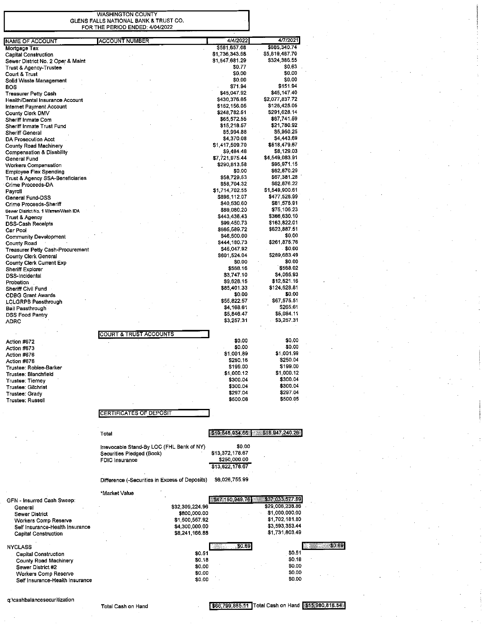**WASHINGTON COUNTY** GLENS FALLS NATIONAL BANK & TRUST CO. FOR THE PERIOD ENDED: 4/04/2022

L

| <b>NAME OF ACCOUNT</b>               | <b>ACCOUNT NUMBER</b>                          | 4/4/2022                       | 4/7/2021                       |
|--------------------------------------|------------------------------------------------|--------------------------------|--------------------------------|
| Mortgage Tax                         |                                                | \$581,657.68<br>\$1.736,343.68 | \$685,340.74<br>\$5,819,487.70 |
| <b>Capital Construction</b>          |                                                | \$1,547,681.29                 | \$324,386.55                   |
| Sewer District No. 2 Oper & Maint    |                                                | \$0.77                         | \$0.63                         |
| Trust & Agency-Trustee               |                                                | \$0,00                         | \$0.00                         |
| Court & Trust                        |                                                | \$0.00                         | \$0.00                         |
| Solid Waste Management<br><b>BOS</b> |                                                | \$71.94                        | \$151.94                       |
|                                      |                                                | \$45,047.92                    | \$45,147.40                    |
| <b>Treasurer Petty Cash</b>          |                                                | \$430,376.65                   | \$2,077,837.72                 |
| Health/Dental Insurance Account      |                                                | \$152,156.05                   | \$126,425.05                   |
| Internet Payment Account             |                                                | \$248,782.51                   | \$291,628.14                   |
| County Clerk DMV                     |                                                | \$65,572.55                    | \$67,741.59                    |
| Sheriff Inmate Com                   |                                                |                                | \$21,780.92                    |
| Sheriff Inmate Trust Fund            |                                                | \$15,218.57                    |                                |
| Sheriff General                      |                                                | \$5,994.88                     | \$5,950.25                     |
| DA Prosecution Acct                  |                                                | \$4,370.08                     | \$4,443.69                     |
| County Road Machinery                |                                                | \$1,417,509.70                 | \$518,479.67                   |
| <b>Compensation &amp; Disability</b> |                                                | \$9,484.48                     | \$8,129.03                     |
| General Fund                         |                                                | \$7 721,975.44                 | \$4 549,083.91                 |
| Workers Compensation                 |                                                | \$290,813.58                   | \$95,971.15                    |
| <b>Employee Flex Spending</b>        |                                                | \$0.00                         | \$62,870.29                    |
| Trust & Agency SSA-Beneficiaries     |                                                | \$58,729.53                    | \$67,381.28                    |
| Crime Proceeds-DA                    |                                                | \$58,704.32                    | \$62,876.22                    |
| Payroll                              |                                                | \$1,714,702.55                 | \$1,549,900.61                 |
| General Fund-DSS                     |                                                | \$896,112.07                   | \$477,528.99                   |
| Crime Proceeds-Sheriff               |                                                | \$40,530.60                    | \$81,576.91                    |
| Sewer District No. 1 Warren/Wash IDA |                                                | \$89,080.20                    | \$75,106.23                    |
| Trust & Agency                       |                                                | \$443,436.43                   | \$366,630.10                   |
| <b>DSS-Cash Receipts</b>             |                                                | \$99,450.73                    | \$163,822.01                   |
| Car Pool                             |                                                | \$665,589.72                   | \$623,887.51                   |
| Community Development                |                                                | \$46,500.00                    | \$0.00                         |
| <b>County Road</b>                   |                                                | \$444,180.73                   | \$261,875.76                   |
| Treasurer Petty Cash-Procurement     |                                                | \$45,047.92                    | \$0.00                         |
| County Clerk General                 |                                                | \$601,524.04                   | \$289,683.49                   |
| County Clerk Current Exp             |                                                | \$0.00                         | \$0.00                         |
| Sheriff Explorer                     |                                                | \$568.16                       | \$568.02                       |
| DSS-Incidental                       |                                                | \$3,747.10                     | \$4,065.93                     |
| Probation                            |                                                | \$9,628.15                     | \$12,821.16                    |
| Sheriff Civil Fund                   |                                                | \$85,401.33                    | \$124,628.81                   |
| CDBG Grant Awards                    |                                                | \$0.00                         | \$0.00                         |
| LCLGRPB Passthrough                  |                                                | \$55,822 57                    | \$67,575.51                    |
| Bail Passthrough                     |                                                | \$4,168.61                     | \$265.61                       |
| DSS Food Pantry                      |                                                | \$5,846.47                     | \$5,084.11                     |
|                                      |                                                | \$3,257.31                     | \$3,257.31                     |
| ADRC                                 |                                                |                                |                                |
|                                      | <b>COURT &amp; TRUST ACCOUNTS</b>              |                                |                                |
|                                      |                                                |                                | \$0.00                         |
| Action #672                          |                                                | \$0.00<br>\$0.00               |                                |
| Action #673                          |                                                |                                | \$0.00                         |
| Action #676                          |                                                | \$1,001.89                     | \$1,001.99                     |
| Action #678                          |                                                | \$250.16                       | \$250.04                       |
| Trustee: Roblee-Barker               |                                                | \$199.00                       | \$199.00                       |
| Trustee: Blanchfield                 |                                                | \$1,000.12                     | \$1,000.12                     |
| Trustee: Tierney                     |                                                | \$300.04                       | \$300.04                       |
| Trustee: Gilchrist                   |                                                | \$300.04                       | \$300.04                       |
| Trustee: Grady                       |                                                | \$297.04                       | \$297.04                       |
| Trustee: Russell                     |                                                | \$500.06                       | \$500.05                       |
|                                      |                                                |                                |                                |
|                                      | <b>CERTIFICATES OF DEPOSIT</b>                 |                                |                                |
|                                      |                                                |                                |                                |
|                                      |                                                |                                |                                |
|                                      | Total                                          | \$19,648,934.66                | $-318,947,240.26$              |
|                                      |                                                |                                |                                |
|                                      |                                                |                                |                                |
|                                      | Irrevocable Stand-By LOC (FHL Bank of NY)      | \$0.00                         |                                |
|                                      |                                                |                                |                                |
|                                      | Securities Pledged (Book)                      | \$13,372,178.67                |                                |
|                                      | <b>FDIC</b> Insurance                          | \$250,000.00                   |                                |
|                                      |                                                | \$13,622,178.67                |                                |
|                                      |                                                |                                |                                |
|                                      | Difference (-Securities in Excess of Deposits) | \$6,026,755.99                 |                                |
|                                      |                                                |                                |                                |
| GFN - Insurred Cash Sweep:           | *Market Value                                  | \$47,150,949.76                | \$37,033,577.59                |

Sewer District \$800,000.00 \$1,000,000.00 \$1,500,557.92 \$1,702.181.80 Workers Comp Reserve \$3,593,353.44 \$4,300,000.00 Self Insurance-Health Insurance \$8,241,166.88 \$1,731,803.49 **Capital Construction** \$0.69 \$0.69 **NYCLASS**  $$0.51$ Capital Construction \$0.51  $$0.18$  $$0.18$ County Road Machinery \$0.00 Sewer District #2 \$0.00  $$0.00$ \$0.00 Workers Comp Reserve  $$0.00$  $$0.00$ Self Insurance-Health Insurance

q:\cashbalancesecuritization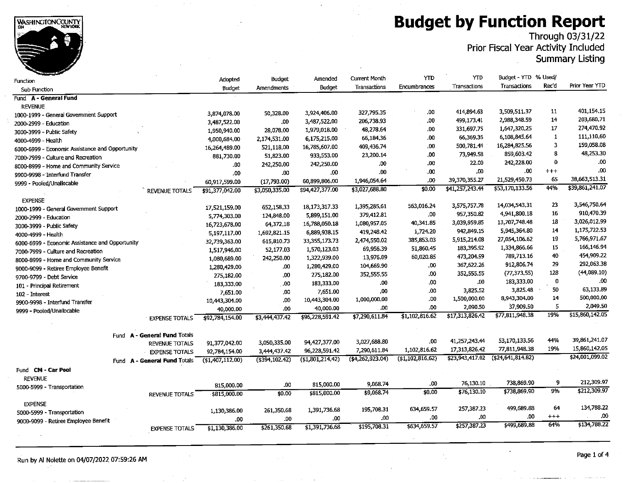### **Budget by Function Report**

Through 03/31/22<br>Prior Fiscal Year Activity Included

**Summary Listing** 

|                                                 |                              |                 | <b>Budget</b>     | Amended          | Current Month    | YTD                        | YTD             | Budget - YTD % Used/ |              |                 |
|-------------------------------------------------|------------------------------|-----------------|-------------------|------------------|------------------|----------------------------|-----------------|----------------------|--------------|-----------------|
| Function                                        |                              | Adopted         |                   | <b>Budget</b>    | Transactions     | Encumbrances               | Transactions    | Transactions         | Rec'd        | Prior Year YTD  |
| Sub Function                                    |                              | Budget          | <b>Amendments</b> |                  |                  |                            |                 |                      |              |                 |
| Fund A - General Fund                           |                              |                 |                   |                  |                  |                            |                 |                      |              |                 |
| <b>REVENUE</b>                                  |                              |                 |                   |                  | 327,795.35       | 00.                        | 414,894.63      | 3,509,511.37         | 11           | 401,154.15      |
| 1000-1999 - General Government Support          |                              | 3,874,078.00    | 50,328.00         | 3,924,406.00     | 206,738.93       | .00.                       | 499.173.41      | 2,988,348.59         | 14           | 203,680,71      |
| 2000-2999 - Education                           |                              | 3,487,522.00    | .00               | 3,487,522.00     | 48,278.64        | .00                        | 331.697.75      | 1,647,320.25         | 17           | 274,470.92      |
| 3000-3999 - Public Safety                       |                              | 1,950,940.00    | 28,078.00         | 1,979,018.00     |                  |                            | 66,369.36       | 6,108,845.64         | $\mathbf{1}$ | 111,110.60      |
| 4000-4999 - Health                              |                              | 4,000,684,00    | 2,174,531.00      | 6,175,215.00     | 66,184.36        | .00                        | 500,781.44      | 16,284,825.56        | 3            | 159,058.08      |
| 6000-6999 - Economic Assistance and Opportunity |                              | 16,264,489.00   | 521,118.00        | 16,785,607.00    | 409,436.74       | .00                        |                 | 859,603.42           | 8            | 48,253.30       |
| 7000-7999 - Culture and Recreation              |                              | 881,730.00      | 51,823.00         | 933,553.00       | 23,200.14        | .00                        | 73,949.58       | 242,228.00           | 0            | .00             |
| 8000-8999 - Home and Community Service          |                              | .00             | 242,250.00        | 242,250.00       | .00.             | .00                        | 22.00           | .00.                 | $+ + +$      | .00.            |
| 9900-9998 - Interfund Transfer                  |                              | .00.            | .00.              | .00              | .00              | .00.                       | .00             |                      |              | 38,663,513.31   |
| 9999 - Pooled/Unallocable                       |                              | 60,917,599.00   | (17,793.00)       | 60,899,806.00    | 1,946,054.64     | .00                        | 39,370,355.27   | 21,529,450.73        | 65           | \$39,861,241.07 |
|                                                 | REVENUE TOTALS               | \$91,377,042.00 | \$3,050,335.00    | \$94,427,377.00  | \$3,027,688.80   | 50.00                      | \$41,257,243.44 | \$53,170,133.56      | 44%          |                 |
| <b>EXPENSE</b>                                  |                              |                 |                   |                  |                  |                            |                 |                      |              |                 |
| 1000-1999 - General Government Support          |                              | 17,521,159.00   | 652.158.33        | 18,173,317.33    | 1,395,285.61     | 563,016.24                 | 3,575,757.78    | 14,034,543,31        | 23           | 3,546,750.64    |
| 2000-2999 - Education                           |                              | 5,774,303.00    | 124,848,00        | 5,899,151.00     | 379,412.81       | 00.                        | 957,350.82      | 4,941,800.18         | 16           | 910,470.39      |
| 3000-3999 - Public Safety                       |                              | 16,723,678.00   | 64, 372, 18       | 16,788,050.18    | 1.080,957.05     | 40,341.85                  | 3,039,959.85    | 13,707,748.48        | 18           | 3,026,012.99    |
| 4000-4999 - Health                              |                              | 5,197,117.00    | 1,692,821.15      | 6,889,938.15     | 419,248.42       | 1,724.20                   | 942,849.15      | 5,945.364.80         | 14           | 1,175,722.53    |
| 6000-6999 - Economic Assistance and Opportunity |                              | 32,739,363.00   | 615,810.73        | 33, 355, 173. 73 | 2,474,550.02     | 385,853.03                 | 5,915,214.08    | 27,054,106.62        | 19           | 5,766,971.67    |
| 7000-7999 - Culture and Recreation              |                              | 1,517,946.00    | 52,177.03         | 1,570,123.03     | 69,956.39        | 51,860.45                  | 183,395.92      | 1,334,866.66         | 15           | 166,146.94      |
| 8000-8999 - Home and Community Service          |                              | 1,080,689.00    | 242,250.00        | 1,322,939.00     | 13,976.09        | 60,020.85                  | 473,204.99      | 789,713.16           | 40           | 454,909.22      |
| 9000-9099 - Retiree Employee Benefit            |                              | 1,280,429.00    | .00               | 1,280,429.00     | 104,669.90       | .00.                       | 367,622.26      | 912,806,74           | 29           | 292,063.38      |
| 9700-9799 - Debt Service                        |                              | 275,182.00      | .00               | 275,182,00       | 352,555.55       | .00.                       | 352,555.55      | (77, 373, 55)        | 128          | (44,089.10)     |
| 101 - Principal Retirement                      |                              | 183,333,00      | .00               | 183,333.00       | .00.             | .00                        | .00             | 183,333,00           | 0            | .00             |
| 102 - Interest                                  |                              | 7,651.00        | .00               | 7,651.00         | $\infty$         | .00                        | 3,825.52        | 3.825.48             | 50           | 63,133.89       |
| 9900-9998 - Interfund Transfer                  |                              | 10,443,304.00   | .00.              | 10,443,304.00    | 1,000,000.00     | .00                        | 1,500,000.00    | 8,943,304.00         | 14           | 500,000.00      |
| 9999 - Pooled/Unallocable                       |                              | 40,000.00       | .00.              | 40,000.00        | .00              | .00                        | 2,090.50        | 37,909.50            | 5            | 2,049.50        |
|                                                 | <b>EXPENSE TOTALS</b>        | \$92,784,154.00 | \$3,444,437.42    | \$96,228,591.42  | \$7,290,611.84   | $\overline{$1,102,816.62}$ | \$17,313,826.42 | \$77,811,948.38      | 19%          | \$15,860,142.05 |
|                                                 |                              |                 |                   |                  |                  |                            |                 |                      |              |                 |
|                                                 | Fund A - General Fund Totals |                 |                   |                  |                  |                            |                 |                      |              |                 |
|                                                 | <b>REVENUE TOTALS</b>        | 91,377,042.00   | 3,050,335,00      | 94,427,377.00    | 3,027,688.80     | .00                        | 41,257,243.44   | 53,170,133.56        | 44%          | 39,861,241.07   |
|                                                 | <b>EXPENSE TOTALS</b>        | 92,784,154.00   | 3,444,437.42      | 96,228,591.42    | 7,290,611.84     | 1,102,816.62               | 17,313,826.42   | 77,811,948.38        | 19%          | 15,860,142.05   |
|                                                 | Fund A - General Fund Totals | (1,407,112,00)  | $($ \$394,102.42) | (\$1,801,214.42) | (4, 262, 923.04) | (1,102,816,62)             | \$23,943,417.02 | (\$24,641,814.82)    |              | \$24,001,099.02 |
| Fund CM - Car Pool                              |                              |                 |                   |                  |                  |                            |                 |                      |              |                 |
| <b>REVENUE</b>                                  |                              |                 |                   |                  |                  |                            |                 |                      |              |                 |
| 5000-5999 - Transportation                      |                              | 815,000.00      | .00               | 815,000.00       | 9,068.74         | .00                        | 76,130.10       | 738,869.90           | 9            | 212,309.97      |
|                                                 | <b>REVENUE TOTALS</b>        | \$815,000.00    | \$0.00            | \$815,000.00     | \$9,068.74       | \$0.00                     | \$76,130.10     | \$738,869.90         | 9%           | \$212,309.97    |
|                                                 |                              |                 |                   |                  |                  |                            |                 |                      |              |                 |
| <b>EXPENSE</b>                                  |                              | 1,130,386.00    | 261,350.68        | 1,391,736.68     | 195,708.31       | 634,659.57                 | 257,387.23      | 499,689.88           | 64           | 134,788.22      |
| 5000-5999 - Transportation                      |                              | .00             | .00               | .00              | .00              | .00                        | .00             | .00                  | $^{+++}$     | ,00             |
| 9000-9099 - Retiree Employee Benefit            |                              | \$1,130,386.00  | \$261,350,68      | \$1,391,736.68   | \$195,708.31     | \$634,659.57               | \$257,387,23    | \$499,689.88         | 64%          | \$134,788.22    |
|                                                 | <b>EXPENSE TOTALS</b>        |                 |                   |                  |                  |                            |                 |                      |              |                 |
|                                                 |                              |                 |                   |                  |                  |                            |                 |                      |              |                 |

Run by Al Nolette on 04/07/2022 07:59:26 AM

WASHINGTON COUNTY

Page 1 of 4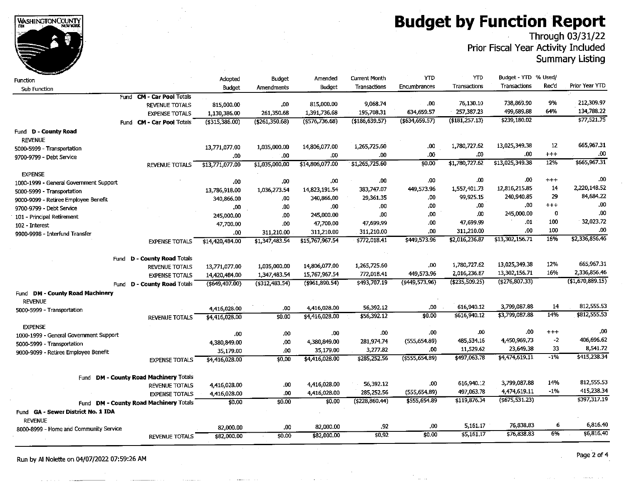**Budget by Function Report** 



### Through 03/31/22<br>Prior Fiscal Year Activity Included

**Summary Listing** 

| -unction                               |                                        | Adopted           | Budget            | Amended           | <b>Current Month</b> | YTD               | <b>YTD</b>       | Budget - YTD % Used/ |                   |                |
|----------------------------------------|----------------------------------------|-------------------|-------------------|-------------------|----------------------|-------------------|------------------|----------------------|-------------------|----------------|
| Sub Function                           |                                        | <b>Budget</b>     | Amendments        | Budget            | Transactions         | Encumbrances      | Transactions     | Transactions         | Rec'd             | Prior Year YTD |
|                                        | Fund CM - Car Pool Totals              |                   |                   |                   |                      |                   |                  |                      |                   |                |
|                                        | <b>REVENUE TOTALS</b>                  | 815,000.00        | .00               | 815,000.00        | 9,068.74             | .00               | 76,130.10        | 738,869.90           | 9%                | 212,309.97     |
|                                        | <b>EXPENSE TOTALS</b>                  | 1,130,386.00      | 261,350.68        | 1,391,736.68      | 195,708.31           | 634,659.57        | 257,387.23       | 499,689.88           | 64%               | 134,788.22     |
|                                        | Fund <b>CM - Car Pool Totals</b>       | ( \$315, 386.00)  | (5261, 350.68)    | $($ \$576,736.68) | (\$186, 639.57)      | ( \$634, 659.57)  | ( \$181, 257.13) | \$239,180.02         |                   | \$77,521.75    |
| und D - County Road                    |                                        |                   |                   |                   |                      |                   |                  |                      |                   |                |
| <b>REVENUE</b>                         |                                        |                   |                   |                   |                      |                   |                  |                      |                   |                |
| 5000-5999 - Transportation             |                                        | 13,771,077.00     | 1,035,000.00      | 14,806,077.00     | 1,265,725.60         | .00               | 1,780,727.62     | 13,025,349,38        | $12 \overline{ }$ | 665,967.31     |
| 9700-9799 - Debt Service               |                                        | .00               | .00               | .00.              | .00                  | .00               | .00.             | .00                  | $+ + +$           | .00            |
|                                        | <b>REVENUE TOTALS</b>                  | \$13,771,077.00   | \$1,035,000.00    | \$14,806,077.00   | \$1,265,725.60       | \$0.00            | \$1,780,727.62   | \$13,025,349.38      | 12%               | \$665,967.31   |
| <b>EXPENSE</b>                         |                                        |                   |                   |                   |                      |                   |                  |                      |                   |                |
| 1000-1999 - General Government Support |                                        | .00               | .00               | .00               | .00                  | .00               | .00              | .00                  | $^{+++}$          | .00.           |
| 5000-5999 - Transportation             |                                        | 13,786,918.00     | 1,036,273.54      | 14,823,191.54     | 383,747.07           | 449,573.96        | 1,557,401.73     | 12,816,215.85        | 14                | 2,220,148.52   |
| 9000-9099 - Retiree Employee Benefit   |                                        | 340,866,00        | ,00               | 340,866,00        | 29,361.35            | .00               | 99,925.15        | 240,940.85           | 29                | 84,684.22      |
| 9700-9799 - Debt Service               |                                        | .00.              | .00               | .00.              | .00                  | .00.              | ,00              | 00,                  | $+ + +$           | .00            |
| 101 - Principal Retirement             |                                        | 245,000,00        | .00               | 245,000.00        | .00                  | .00               | ,00              | 245,000.00           | 0                 | .00.           |
| 102 - Interest                         |                                        | 47,700.00         | .00               | 47,700.00         | 47,699.99            | .00               | 47,699.99        | .01                  | 100               | 32,023.72      |
| 9900-9998 - Interfund Transfer         |                                        | .00               | 311,210.00        | 311,210.00        | 311,210.00           | .00               | 311,210.00       | .00                  | 100               | .00.           |
|                                        | <b>EXPENSE TOTALS</b>                  | \$14,420,484.00   | \$1,347,483.54    | \$15,767,967.54   | \$772,018.41         | \$449,573.96      | \$2,016,236.87   | \$13,302,156.71      | 16%               | \$2,336,856.46 |
|                                        |                                        |                   |                   |                   |                      |                   |                  |                      |                   |                |
|                                        | Fund D - County Road Totals            |                   |                   |                   |                      |                   |                  |                      |                   |                |
|                                        | REVENUE TOTALS                         | 13,771,077.00     | 1,035,000.00      | 14,806,077.00     | 1,265,725.60         | .00               | 1,780,727.62     | 13,025,349.38        | 12%               | 665,967,31     |
|                                        | <b>EXPENSE TOTALS</b>                  | 14,420,484.00     | 1,347.483,54      | 15,767,967.54     | 772,018.41           | 449,573.96        | 2,016,236.87     | 13,302,156.71        | 16%               | 2,336,856.46   |
|                                        | Fund D - County Road Totals            | $($ \$649,407.00) | $($ \$312,483.54) | (5961, 890.54)    | \$493,707.19         | (\$449,573.96)    | (4235, 509.25)   | $($ \$276,807.33)    |                   | (1,670,889.15) |
| Fund DM - County Road Machinery        |                                        |                   |                   |                   |                      |                   |                  |                      |                   |                |
| <b>REVENUE</b>                         |                                        |                   |                   |                   |                      |                   |                  |                      |                   |                |
| 5000-5999 - Transportation             |                                        | 4,416,028.00      | .00               | 4,416,028.00      | 56,392.12            | .00               | 616,940.12       | 3,799,087.88         | 14                | 812,555.53     |
|                                        | <b>REVENUE TOTALS</b>                  | \$4,416,028.00    | \$0.00            | \$4,416,028.00    | \$56,392.12          | \$0.00            | \$616,940.12     | \$3,799,087.88       | 14%               | \$812,555.53   |
| <b>EXPENSE</b>                         |                                        |                   |                   |                   |                      |                   |                  |                      |                   |                |
| 1000-1999 - General Government Support |                                        | .00               | .00               | .00               | .00.                 | .00               | .00              | .00                  | $^{+++}$          | .00            |
| 5000-5999 - Transportation             |                                        | 4,380,849.00      | .00               | 4,380,849.00      | 281,974.74           | (555, 654.89)     | 485,534.16       | 4,450.969,73         | $-2$              | 406,696.62     |
| 9000-9099 - Retiree Employee Benefit   |                                        | 35,179.00         | .00               | 35,179.00         | 3,277.82             | .00               | 11,529.62        | 23,649.38            | 33                | 8,541.72       |
|                                        | <b>EXPENSE TOTALS</b>                  | \$4,416,028.00    | \$0,00            | \$4,416,028.00    | \$285,252.56         | $($ \$555,654.89) | \$497,063.78     | \$4,474,619.11       | $-1%$             | \$415,238.34   |
|                                        |                                        |                   |                   |                   |                      |                   |                  |                      |                   |                |
|                                        | Fund DM - County Road Machinery Totals |                   |                   |                   |                      |                   |                  |                      |                   |                |
|                                        | <b>REVENUE TOTALS</b>                  | 4,416,028.00      | .00               | 4,416,028.00      | 56,392.12            | .00               | 616,940.12       | 3,799,087.88         | 14%               | 812,555.53     |
|                                        | <b>EXPENSE TOTALS</b>                  | 4,416,028.00      | .00               | 4,416,028.00      | 285,252.56           | (555, 654, 89)    | 497,063.78       | 4,474,619.11         | -1%               | 415,238.34     |
|                                        | Fund DM - County Road Machinery Totals | \$0.00            | \$0.00            | \$0.00            | (\$228,860.44)       | \$555,654.89      | \$119,876.34     | (\$675,531.23)       |                   | \$397,317.19   |
| Fund GA - Sewer District No. 1 IDA     |                                        |                   |                   |                   |                      |                   |                  |                      |                   |                |
| <b>REVENUE</b>                         |                                        |                   |                   |                   |                      |                   |                  |                      |                   |                |
| 8000-8999 - Home and Community Service |                                        | 82,000.00         | .00               | 82,000.00         | .92                  | .00               | 5,161.17         | 76,838.83            | 6                 | 6,816.40       |
|                                        | REVENUE TOTALS                         | \$82,000.00       | 50.00             | \$82,000.00       | \$0,92               | \$0.00            | \$5,161.17       | \$76,838,83          | 6%                | \$6,816,40     |
|                                        |                                        |                   |                   |                   |                      |                   |                  |                      |                   |                |

Page 2 of 4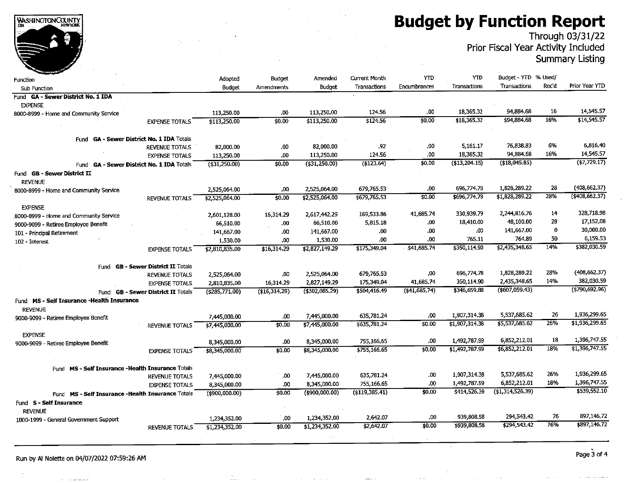**Budget by Function Report** 

Through 03/31/22<br>Prior Fiscal Year Activity Included

**Summary Listing** 

| Function                                              |                                      | Adopted           | Budget            | Amended           | <b>Current Month</b> | YTD          | YTD                        | Budget - YTD % Used/       |           |                   |
|-------------------------------------------------------|--------------------------------------|-------------------|-------------------|-------------------|----------------------|--------------|----------------------------|----------------------------|-----------|-------------------|
| <b>Sub Function</b>                                   |                                      | <b>Budget</b>     | <b>Amendments</b> | Budget            | Transactions         | Encumbrances | Transactions               | Transactions               | Rec'd     | Prior Year YTD    |
| Fund GA - Sewer District No. 1 IDA                    |                                      |                   |                   |                   |                      |              |                            |                            |           |                   |
| <b>EXPENSE</b>                                        |                                      |                   |                   |                   |                      |              |                            |                            |           |                   |
| 8000-8999 - Home and Community Service                |                                      | 113,250.00        | .00               | 113,250.00        | 124.56               | .00          | 18,365.32                  | 94,884,68                  | 16        | 14,545.57         |
|                                                       | <b>EXPENSE TOTALS</b>                | \$113,250.00      | \$0.00            | \$113,250.00      | \$124.56             | \$0,00       | \$18,365,32                | \$94,884.68                | 16%       | \$14,545.57       |
|                                                       |                                      |                   |                   |                   |                      |              |                            |                            |           |                   |
| Fund GA - Sewer District No. 1 IDA Totals             |                                      |                   |                   |                   |                      |              |                            |                            |           |                   |
|                                                       | <b>REVENUE TOTALS</b>                | 82,000.00         | .00.              | 82,000.00         | .92                  | .00          | 5.161.17                   | 76,838.83                  | 6%        | 6,816.40          |
|                                                       | <b>EXPENSE TOTALS</b>                | 113,250.00        | 00.               | 113,250.00        | 124.56               | .00          | 18,365.32                  | 94,884.68                  | 16%       | 14,545.57         |
| Fund GA - Sewer District No. 1 IDA Totals             |                                      | (\$31,250.00)     | \$0.00            | (1, 250.00)       | (5123.64)            | \$0.00       | (\$13,204.15)              | (18,045.85)                |           | (17, 729.17)      |
| Fund <b>GB - Sewer District II</b>                    |                                      |                   |                   |                   |                      |              |                            |                            |           |                   |
| <b>REVENUE</b>                                        |                                      |                   |                   |                   |                      |              |                            |                            |           |                   |
| 8000-8999 - Home and Community Service                |                                      | 2,525,064.00      | .00               | 2,525,064.00      | 679,765.53           | .00          | 696.774.78                 | 1,828,289.22               | 28        | (408, 662.37)     |
|                                                       | REVENUE TOTALS                       | \$2,525,064.00    | \$0,00            | \$2,525,064.00    | \$679,765.53         | \$0,00       | \$696.774.78               | \$1,828,289.22             | 28%       | $($ \$408,662,37) |
| <b>EXPENSE</b>                                        |                                      |                   |                   |                   |                      |              |                            |                            |           |                   |
| 8000-8999 - Home and Community Service                |                                      | 2,601.128.00      | 16,314.29         | 2,617,442.29      | 169,533.86           | 41,685.74    | 330,939.79                 | 2,244,816.76               | 14        | 328,718.98        |
| 9000-9099 - Retiree Employee Benefit                  |                                      | 66,510.00         | .00               | 66,510.00         | 5,815.18             | .00.         | 18,410.00                  | 48,100.00                  | 28        | 17,152,08         |
| 101 - Principal Retirement                            |                                      | 141,667.00        | .00               | 141,667.00        | .00                  | .00          | .00                        | 141,667.00                 | 0         | 30,000.00         |
| 102 - Interest                                        |                                      | 1,530.00          | .00.              | 1,530.00          | .00                  | .00          | 765.11                     | 764.89                     | 50        | 6,159.53          |
|                                                       | <b>EXPENSE TOTALS</b>                | \$2,810,835.00    | \$16,314.29       | \$2,827,149.29    | \$175,349.04         | \$41,685.74  | \$350,114.90               | \$2,435,348.65             | 14%       | \$382,030.59      |
|                                                       |                                      |                   |                   |                   |                      |              |                            |                            |           |                   |
| Fund                                                  | <b>GB - Sewer District II Totals</b> |                   |                   |                   |                      |              |                            |                            |           |                   |
|                                                       | <b>REVENUE TOTALS</b>                | 2,525,064.00      | .00               | 2,525,064.00      | 679,765.53           | .00          | 696,774.78                 | 1,828,289,22               | 28%       | (408, 662.37)     |
|                                                       | <b>EXPENSE TOTALS</b>                | 2,810,835.00      | 16,314.29         | 2,827,149.29      | 175,349.04           | 41,685.74    | 350,114.90                 | 2,435.348.65               | 14%       | 382,030.59        |
| <b>Fund</b>                                           | <b>GB - Sewer District II Totals</b> | (\$285,771.00)    | (\$16,314,29)     | (4302,085.29)     | \$504,416.49         | (441.685.74) | \$346,659,88               | (5607, 059.43)             |           | (5790.692.96)     |
| Fund MS - Self Insurance -Health Insurance            |                                      |                   |                   |                   |                      |              |                            |                            |           |                   |
| <b>REVENUE</b>                                        |                                      |                   |                   |                   |                      |              |                            |                            | 26        | 1,936,299.65      |
| 9000-9099 - Retiree Employee Benefit                  |                                      | 7,445,000.00      | .00               | 7,445,000.00      | 635,781.24           | .00          | 1,907,314.38               | 5,537,685.62               | 26%       | \$1,936,299.65    |
|                                                       | <b>REVENUE TOTALS</b>                | \$7,445,000.00    | \$0.00            | \$7,445,000.00    | \$635,781.24         | \$0.00       | \$1,907,314.38             | \$5,537,685.62             |           |                   |
| <b>EXPENSE</b>                                        |                                      |                   |                   |                   |                      |              |                            |                            |           | 1,396,747.55      |
| 9000-9099 - Retiree Employee Benefit                  |                                      | 8,345,000.00      | .00               | 8,345,000,00      | 755,166.65           | .00          | 1,492,787.99               | 6,852,212.01               | 18<br>18% | \$1,396,747.55    |
|                                                       | <b>EXPENSE TOTALS</b>                | \$8,345,000,00    | \$0,00            | \$8,345,000,00    | \$755,166.65         | \$0,00       | \$1,492,787.99             | \$6,852,212.01             |           |                   |
|                                                       |                                      |                   |                   |                   |                      |              |                            |                            |           |                   |
| MS - Self Insurance - Health Insurance Totals<br>Fund |                                      |                   |                   |                   |                      |              |                            | 5,537,685.62               | 26%       | 1,936,299.65      |
|                                                       | <b>REVENUE TOTALS</b>                | 7,445,000.00      | .00               | 7,445,000.00      | 635,781.24           | .00          | 1,907,314.38               | 6,852,212.01               | 18%       | 1,396,747.55      |
|                                                       | <b>EXPENSE TOTALS</b>                | 8,345,000.00      | .00               | 8,345,000.00      | 755,166.65           | .00          | 1,492,787.99               |                            |           | \$539,552.10      |
| Fund MS - Self Insurance -Health Insurance Totals     |                                      | $($ \$900,000.00) | \$0.00            | $($ \$900,000.00) | $($ \$119,385.41)    | \$0.00       | \$414,526.39               | (\$1,314,526.39)           |           |                   |
| Fund S - Self Insurance                               |                                      |                   |                   |                   |                      |              |                            |                            |           |                   |
| <b>REVENUE</b>                                        |                                      |                   |                   |                   |                      |              |                            |                            | 76        | 897,146.72        |
| 1000-1999 - General Government Support                |                                      | 1,234,352.00      | .00               | 1,234,352,00      | 2,642.07             | .00          | 939,808.58<br>\$939,808,58 | 294,543.42<br>\$294,543.42 | 76%       | \$897,146.72      |
|                                                       | <b>REVENUE TOTALS</b>                | \$1,234,352.00    | \$0.00            | \$1,234,352,00    | \$2,642.07           | \$0,00       |                            |                            |           |                   |
|                                                       |                                      |                   |                   |                   |                      |              |                            |                            |           |                   |

WASHINGTON COUNTY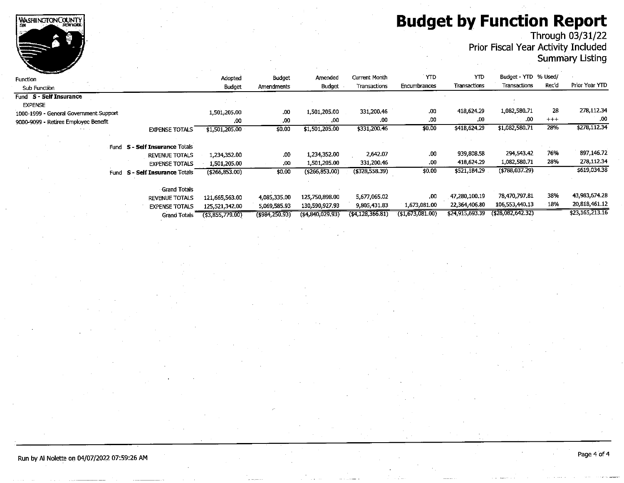# **Budget by Function Report**<br>Through 03/31/22<br>Prior Fiscal Year Activity Included



## **Summary Listing**

| <b>Construction of the Construction</b> |                                  |                     |                   |                     |                   |                |                 |                      |          |                 |
|-----------------------------------------|----------------------------------|---------------------|-------------------|---------------------|-------------------|----------------|-----------------|----------------------|----------|-----------------|
| Function                                |                                  | Adopted             | <b>Budget</b>     | Amended             | Current Month     | <b>YTD</b>     | YTD             | Budget - YTD % Used/ |          |                 |
| Sub Function                            |                                  | Budget              | Amendments        | Budget              | Transactions      | Encumbrances   | Transactions    | Transactions         | Rec'd    | Prior Year YTD  |
| Fund S - Self Insurance                 |                                  |                     |                   |                     |                   |                |                 |                      |          |                 |
| <b>EXPENSE</b>                          |                                  |                     |                   |                     |                   |                |                 |                      |          |                 |
| 1000-1999 - General Government Support  |                                  | 1,501,205.00        | .00               | 1,501,205.00        | 331,200.46        | .00            | 418.624.29      | 1,082,580.71         | 28       | 278,112.34      |
| 9000-9099 - Retiree Employee Benefit    |                                  | .00                 | .00               | .00                 | .00               | .00            | .00             | .00.                 | $^{+++}$ | .00             |
|                                         | <b>EXPENSE TOTALS</b>            | \$1,501,205.00      | \$0.00            | \$1,501,205.00      | \$331,200.46      | \$0.00         | \$418,624.29    | \$1,082,580.71       | 28%      | \$278,112.34    |
|                                         | Fund S - Self Insurance Totals   |                     |                   |                     |                   |                |                 |                      |          |                 |
|                                         | <b>REVENUE TOTALS</b>            | 1,234,352.00        | .00               | 1,234,352.00        | 2,642.07          | .00            | 939,808.58      | 294.543.42           | 76%      | 897,146.72      |
|                                         | <b>EXPENSE TOTALS</b>            | 1,501,205.00        | .00               | 1,501,205.00        | 331,200.46        | .00            | 418,624.29      | 1,082,580.71         | 28%      | 278,112.34      |
| Fund                                    | <b>S - Self Insurance Totals</b> | ( \$266, 853.00)    | \$0,00            | (5266, 853.00)      | $($ \$328,558.39) | \$0.00         | \$521,184.29    | (4788, 037.29)       |          | \$619,034.38    |
|                                         |                                  |                     |                   |                     |                   |                |                 |                      |          |                 |
|                                         | <b>Grand Totals</b>              |                     |                   |                     |                   |                |                 | 78,470,797.81        | 38%      | 43.983,674.28   |
|                                         | <b>REVENUE TOTALS</b>            | 121,665,563.00      | 4,085,335.00      | 125,750,898.00      | 5,677,065.02      | .00            | 47,280,100.19   |                      |          |                 |
|                                         | <b>EXPENSE TOTALS</b>            | 125,521,342,00      | 5,069,585.93      | 130,590,927.93      | 9,805,431.83      | 1,673,081.00   | 22,364,406.80   | 106,553,440.13       | 18%      | 20,818,461.12   |
|                                         | Grand Totals                     | $($ \$3,855,779,00) | $($ \$984,250,93) | $($ \$4,840,029,93) | (44, 128, 366.81) | (1,673,081.00) | \$24,915,693.39 | (428,082,642,32)     |          | \$23,165,213.16 |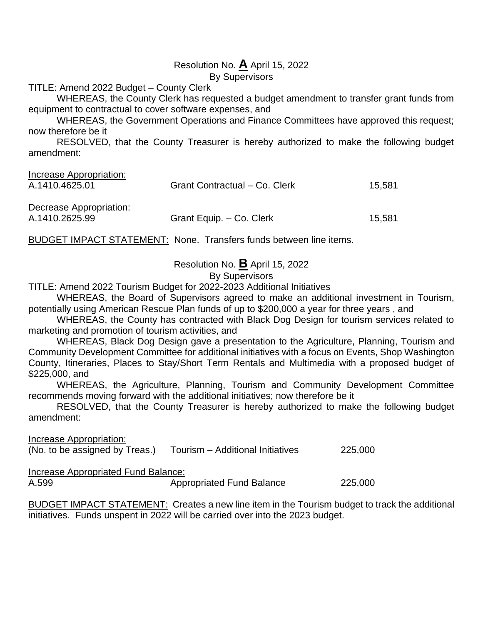### Resolution No. **A** April 15, 2022

By Supervisors

TITLE: Amend 2022 Budget – County Clerk

WHEREAS, the County Clerk has requested a budget amendment to transfer grant funds from equipment to contractual to cover software expenses, and

WHEREAS, the Government Operations and Finance Committees have approved this request; now therefore be it

RESOLVED, that the County Treasurer is hereby authorized to make the following budget amendment:

| Increase Appropriation:<br>A.1410.4625.01 | Grant Contractual - Co. Clerk | 15,581 |
|-------------------------------------------|-------------------------------|--------|
| Decrease Appropriation:                   |                               |        |
| A.1410.2625.99                            | Grant Equip. - Co. Clerk      | 15.581 |

BUDGET IMPACT STATEMENT: None. Transfers funds between line items.

Resolution No. **B** April 15, 2022

### By Supervisors

TITLE: Amend 2022 Tourism Budget for 2022-2023 Additional Initiatives

WHEREAS, the Board of Supervisors agreed to make an additional investment in Tourism, potentially using American Rescue Plan funds of up to \$200,000 a year for three years , and

WHEREAS, the County has contracted with Black Dog Design for tourism services related to marketing and promotion of tourism activities, and

WHEREAS, Black Dog Design gave a presentation to the Agriculture, Planning, Tourism and Community Development Committee for additional initiatives with a focus on Events, Shop Washington County, Itineraries, Places to Stay/Short Term Rentals and Multimedia with a proposed budget of \$225,000, and

WHEREAS, the Agriculture, Planning, Tourism and Community Development Committee recommends moving forward with the additional initiatives; now therefore be it

RESOLVED, that the County Treasurer is hereby authorized to make the following budget amendment:

Increase Appropriation: (No. to be assigned by Treas.) Tourism – Additional Initiatives 225,000

Increase Appropriated Fund Balance:

| A.599 | <b>Appropriated Fund Balance</b> | 225,000 |
|-------|----------------------------------|---------|
|-------|----------------------------------|---------|

BUDGET IMPACT STATEMENT: Creates a new line item in the Tourism budget to track the additional initiatives. Funds unspent in 2022 will be carried over into the 2023 budget.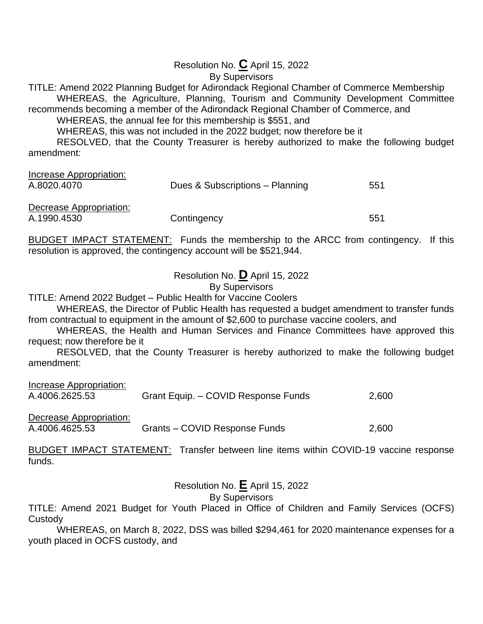### Resolution No. **C** April 15, 2022

By Supervisors

TITLE: Amend 2022 Planning Budget for Adirondack Regional Chamber of Commerce Membership WHEREAS, the Agriculture, Planning, Tourism and Community Development Committee recommends becoming a member of the Adirondack Regional Chamber of Commerce, and

WHEREAS, the annual fee for this membership is \$551, and

WHEREAS, this was not included in the 2022 budget; now therefore be it

RESOLVED, that the County Treasurer is hereby authorized to make the following budget amendment:

|             | 551                             |
|-------------|---------------------------------|
|             |                                 |
|             |                                 |
| Contingency | 551                             |
|             | Dues & Subscriptions - Planning |

BUDGET IMPACT STATEMENT: Funds the membership to the ARCC from contingency. If this resolution is approved, the contingency account will be \$521,944.

Resolution No. **D** April 15, 2022

By Supervisors

TITLE: Amend 2022 Budget – Public Health for Vaccine Coolers

WHEREAS, the Director of Public Health has requested a budget amendment to transfer funds from contractual to equipment in the amount of \$2,600 to purchase vaccine coolers, and

WHEREAS, the Health and Human Services and Finance Committees have approved this request; now therefore be it

RESOLVED, that the County Treasurer is hereby authorized to make the following budget amendment:

| Increase Appropriation: |                                     |       |
|-------------------------|-------------------------------------|-------|
| A.4006.2625.53          | Grant Equip. - COVID Response Funds | 2,600 |
|                         |                                     |       |

Decrease Appropriation:

A.4006.4625.53 Grants – COVID Response Funds 2,600

BUDGET IMPACT STATEMENT: Transfer between line items within COVID-19 vaccine response funds.

Resolution No. **E** April 15, 2022

By Supervisors

TITLE: Amend 2021 Budget for Youth Placed in Office of Children and Family Services (OCFS) Custody

WHEREAS, on March 8, 2022, DSS was billed \$294,461 for 2020 maintenance expenses for a youth placed in OCFS custody, and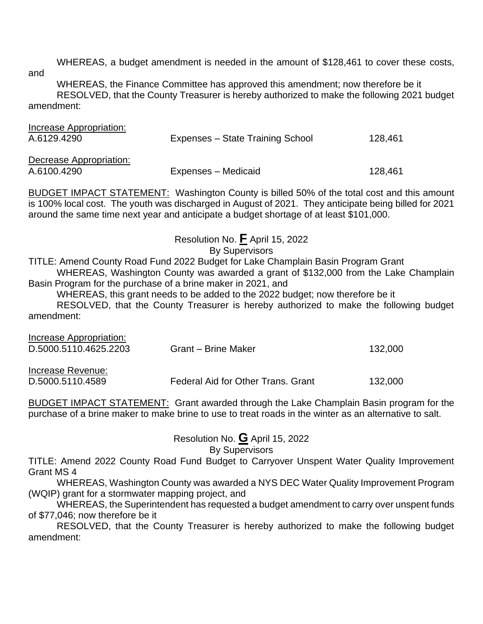WHEREAS, a budget amendment is needed in the amount of \$128,461 to cover these costs, and

WHEREAS, the Finance Committee has approved this amendment; now therefore be it RESOLVED, that the County Treasurer is hereby authorized to make the following 2021 budget amendment:

| Increase Appropriation: |                                  |         |
|-------------------------|----------------------------------|---------|
| A.6129.4290             | Expenses - State Training School | 128,461 |
|                         |                                  |         |
| Decrease Appropriation: |                                  |         |
| A.6100.4290             | Expenses – Medicaid              | 128,461 |

BUDGET IMPACT STATEMENT: Washington County is billed 50% of the total cost and this amount is 100% local cost. The youth was discharged in August of 2021. They anticipate being billed for 2021 around the same time next year and anticipate a budget shortage of at least \$101,000.

Resolution No. **F** April 15, 2022

### By Supervisors

TITLE: Amend County Road Fund 2022 Budget for Lake Champlain Basin Program Grant WHEREAS, Washington County was awarded a grant of \$132,000 from the Lake Champlain Basin Program for the purchase of a brine maker in 2021, and

WHEREAS, this grant needs to be added to the 2022 budget; now therefore be it RESOLVED, that the County Treasurer is hereby authorized to make the following budget amendment:

| Increase Appropriation:<br>D.5000.5110.4625.2203 | Grant – Brine Maker                | 132,000 |
|--------------------------------------------------|------------------------------------|---------|
| Increase Revenue:<br>D.5000.5110.4589            | Federal Aid for Other Trans. Grant | 132,000 |

BUDGET IMPACT STATEMENT: Grant awarded through the Lake Champlain Basin program for the purchase of a brine maker to make brine to use to treat roads in the winter as an alternative to salt.

Resolution No. **G** April 15, 2022

By Supervisors

TITLE: Amend 2022 County Road Fund Budget to Carryover Unspent Water Quality Improvement Grant MS 4

WHEREAS, Washington County was awarded a NYS DEC Water Quality Improvement Program (WQIP) grant for a stormwater mapping project, and

WHEREAS, the Superintendent has requested a budget amendment to carry over unspent funds of \$77,046; now therefore be it

RESOLVED, that the County Treasurer is hereby authorized to make the following budget amendment: